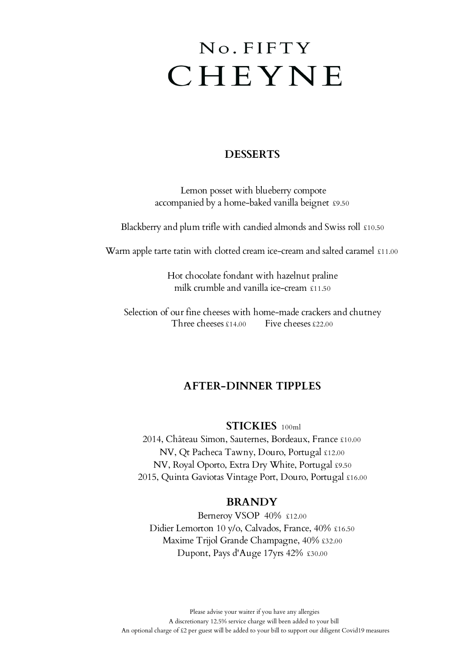# No. FIFTY CHEYNE

# **DESSERTS**

 Lemon posset with blueberry compote accompanied by a home-baked vanilla beignet £9.50

Blackberry and plum trifle with candied almonds and Swiss roll £10.50

Warm apple tarte tatin with clotted cream ice-cream and salted caramel £11.00

Hot chocolate fondant with hazelnut praline milk crumble and vanilla ice-cream £11.50

Selection of our fine cheeses with home-made crackers and chutney Three cheeses £14.00 Five cheeses £22.00

# **AFTER-DINNER TIPPLES**

## **STICKIES** 100ml

2014, Château Simon, Sauternes, Bordeaux, France £10.00 NV, Qt Pacheca Tawny, Douro, Portugal £12.00 NV, Royal Oporto, Extra Dry White, Portugal £9.50 2015, Quinta Gaviotas Vintage Port, Douro, Portugal £16.00

## **BRANDY**

Berneroy VSOP 40% £12.00 Didier Lemorton 10 y/o, Calvados, France, 40% £16.50 Maxime Trijol Grande Champagne, 40% £32.00 Dupont, Pays d'Auge 17yrs 42% £30.00